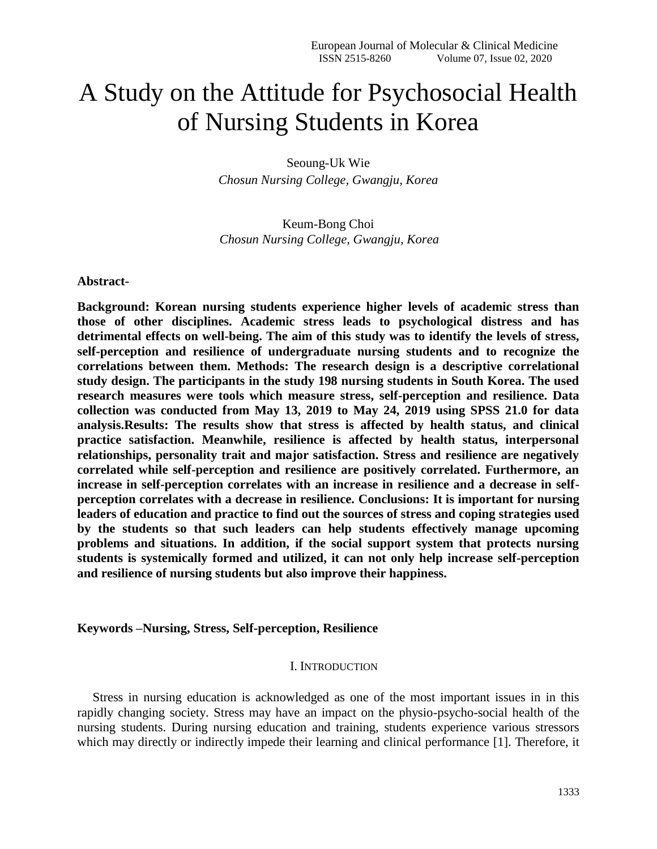# A Study on the Attitude for Psychosocial Health of Nursing Students in Korea

Seoung-Uk Wie *Chosun Nursing College, Gwangju, Korea*

Keum-Bong Choi *Chosun Nursing College, Gwangju, Korea*

**Abstract-**

**Background: Korean nursing students experience higher levels of academic stress than those of other disciplines. Academic stress leads to psychological distress and has detrimental effects on well-being. The aim of this study was to identify the levels of stress, self-perception and resilience of undergraduate nursing students and to recognize the correlations between them. Methods: The research design is a descriptive correlational study design. The participants in the study 198 nursing students in South Korea. The used research measures were tools which measure stress, self-perception and resilience. Data collection was conducted from May 13, 2019 to May 24, 2019 using SPSS 21.0 for data analysis.Results: The results show that stress is affected by health status, and clinical practice satisfaction. Meanwhile, resilience is affected by health status, interpersonal relationships, personality trait and major satisfaction. Stress and resilience are negatively correlated while self-perception and resilience are positively correlated. Furthermore, an increase in self-perception correlates with an increase in resilience and a decrease in selfperception correlates with a decrease in resilience. Conclusions: It is important for nursing leaders of education and practice to find out the sources of stress and coping strategies used by the students so that such leaders can help students effectively manage upcoming problems and situations. In addition, if the social support system that protects nursing students is systemically formed and utilized, it can not only help increase self-perception and resilience of nursing students but also improve their happiness.** 

## **Keywords –Nursing, Stress, Self-perception, Resilience**

# I. INTRODUCTION

Stress in nursing education is acknowledged as one of the most important issues in in this rapidly changing society. Stress may have an impact on the physio-psycho-social health of the nursing students. During nursing education and training, students experience various stressors which may directly or indirectly impede their learning and clinical performance [1]. Therefore, it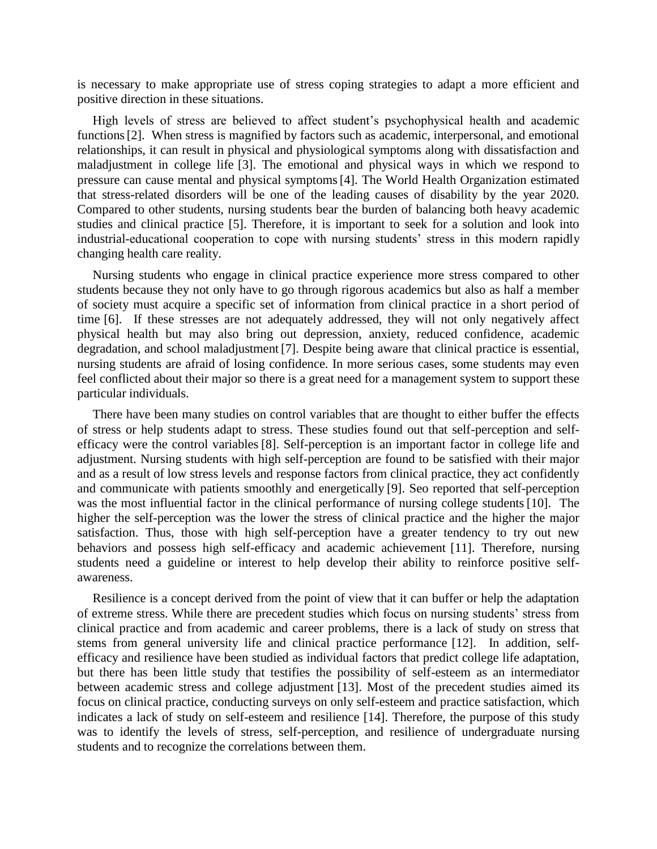is necessary to make appropriate use of stress coping strategies to adapt a more efficient and positive direction in these situations.

High levels of stress are believed to affect student's psychophysical health and academic functions[2]. When stress is magnified by factors such as academic, interpersonal, and emotional relationships, it can result in physical and physiological symptoms along with dissatisfaction and maladjustment in college life [3]. The emotional and physical ways in which we respond to pressure can cause mental and physical symptoms[4]. The World Health Organization estimated that stress-related disorders will be one of the leading causes of disability by the year 2020. Compared to other students, nursing students bear the burden of balancing both heavy academic studies and clinical practice [5]. Therefore, it is important to seek for a solution and look into industrial-educational cooperation to cope with nursing students' stress in this modern rapidly changing health care reality.

Nursing students who engage in clinical practice experience more stress compared to other students because they not only have to go through rigorous academics but also as half a member of society must acquire a specific set of information from clinical practice in a short period of time [6]. If these stresses are not adequately addressed, they will not only negatively affect physical health but may also bring out depression, anxiety, reduced confidence, academic degradation, and school maladjustment [7]. Despite being aware that clinical practice is essential, nursing students are afraid of losing confidence. In more serious cases, some students may even feel conflicted about their major so there is a great need for a management system to support these particular individuals.

There have been many studies on control variables that are thought to either buffer the effects of stress or help students adapt to stress. These studies found out that self-perception and selfefficacy were the control variables [8]. Self-perception is an important factor in college life and adjustment. Nursing students with high self-perception are found to be satisfied with their major and as a result of low stress levels and response factors from clinical practice, they act confidently and communicate with patients smoothly and energetically [9]. Seo reported that self-perception was the most influential factor in the clinical performance of nursing college students [10]. The higher the self-perception was the lower the stress of clinical practice and the higher the major satisfaction. Thus, those with high self-perception have a greater tendency to try out new behaviors and possess high self-efficacy and academic achievement [11]. Therefore, nursing students need a guideline or interest to help develop their ability to reinforce positive selfawareness.

Resilience is a concept derived from the point of view that it can buffer or help the adaptation of extreme stress. While there are precedent studies which focus on nursing students' stress from clinical practice and from academic and career problems, there is a lack of study on stress that stems from general university life and clinical practice performance [12]. In addition, selfefficacy and resilience have been studied as individual factors that predict college life adaptation, but there has been little study that testifies the possibility of self-esteem as an intermediator between academic stress and college adjustment [13]. Most of the precedent studies aimed its focus on clinical practice, conducting surveys on only self-esteem and practice satisfaction, which indicates a lack of study on self-esteem and resilience [14]. Therefore, the purpose of this study was to identify the levels of stress, self-perception, and resilience of undergraduate nursing students and to recognize the correlations between them.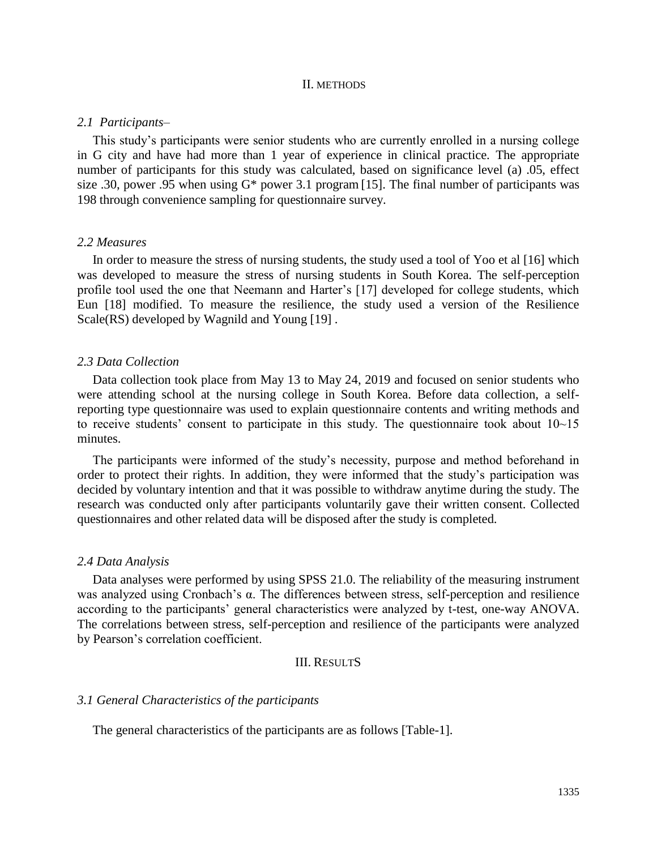#### II. METHODS

#### *2.1 Participants–*

This study's participants were senior students who are currently enrolled in a nursing college in G city and have had more than 1 year of experience in clinical practice. The appropriate number of participants for this study was calculated, based on significance level (a) .05, effect size .30, power .95 when using  $G^*$  power 3.1 program [15]. The final number of participants was 198 through convenience sampling for questionnaire survey.

## *2.2 Measures*

In order to measure the stress of nursing students, the study used a tool of Yoo et al [16] which was developed to measure the stress of nursing students in South Korea. The self-perception profile tool used the one that Neemann and Harter's [17] developed for college students, which Eun [18] modified. To measure the resilience, the study used a version of the Resilience Scale(RS) developed by Wagnild and Young [19] .

#### *2.3 Data Collection*

Data collection took place from May 13 to May 24, 2019 and focused on senior students who were attending school at the nursing college in South Korea. Before data collection, a selfreporting type questionnaire was used to explain questionnaire contents and writing methods and to receive students' consent to participate in this study. The questionnaire took about 10~15 minutes.

The participants were informed of the study's necessity, purpose and method beforehand in order to protect their rights. In addition, they were informed that the study's participation was decided by voluntary intention and that it was possible to withdraw anytime during the study. The research was conducted only after participants voluntarily gave their written consent. Collected questionnaires and other related data will be disposed after the study is completed.

#### *2.4 Data Analysis*

Data analyses were performed by using SPSS 21.0. The reliability of the measuring instrument was analyzed using Cronbach's α. The differences between stress, self-perception and resilience according to the participants' general characteristics were analyzed by t-test, one-way ANOVA. The correlations between stress, self-perception and resilience of the participants were analyzed by Pearson's correlation coefficient.

### III. RESULTS

#### *3.1 General Characteristics of the participants*

The general characteristics of the participants are as follows [Table-1].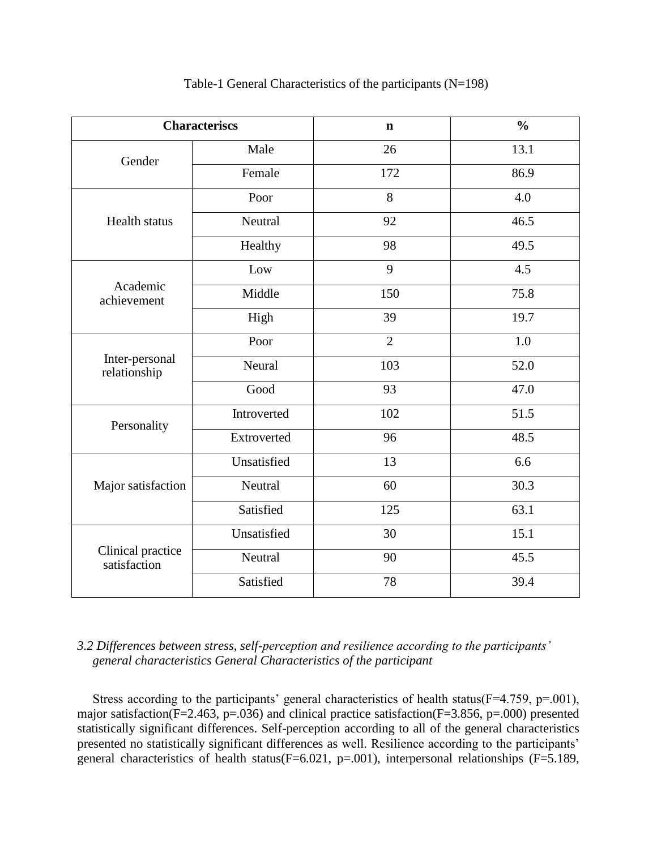| <b>Characteriscs</b>              |             | $\mathbf n$    | $\frac{0}{0}$ |
|-----------------------------------|-------------|----------------|---------------|
| Gender                            | Male        | 26             | 13.1          |
|                                   | Female      | 172            | 86.9          |
| <b>Health status</b>              | Poor        | 8              | 4.0           |
|                                   | Neutral     | 92             | 46.5          |
|                                   | Healthy     | 98             | 49.5          |
| Academic<br>achievement           | Low         | 9              | 4.5           |
|                                   | Middle      | 150            | 75.8          |
|                                   | High        | 39             | 19.7          |
| Inter-personal<br>relationship    | Poor        | $\overline{2}$ | 1.0           |
|                                   | Neural      | 103            | 52.0          |
|                                   | Good        | 93             | 47.0          |
| Personality                       | Introverted | 102            | 51.5          |
|                                   | Extroverted | 96             | 48.5          |
| Major satisfaction                | Unsatisfied | 13             | 6.6           |
|                                   | Neutral     | 60             | 30.3          |
|                                   | Satisfied   | 125            | 63.1          |
| Clinical practice<br>satisfaction | Unsatisfied | 30             | 15.1          |
|                                   | Neutral     | 90             | 45.5          |
|                                   | Satisfied   | 78             | 39.4          |

Table-1 General Characteristics of the participants (N=198)

# *3.2 Differences between stress, self-perception and resilience according to the participants' general characteristics General Characteristics of the participant*

Stress according to the participants' general characteristics of health status(F=4.759, p=.001), major satisfaction( $F=2.463$ , p=.036) and clinical practice satisfaction( $F=3.856$ , p=.000) presented statistically significant differences. Self-perception according to all of the general characteristics presented no statistically significant differences as well. Resilience according to the participants' general characteristics of health status(F=6.021, p=.001), interpersonal relationships (F=5.189,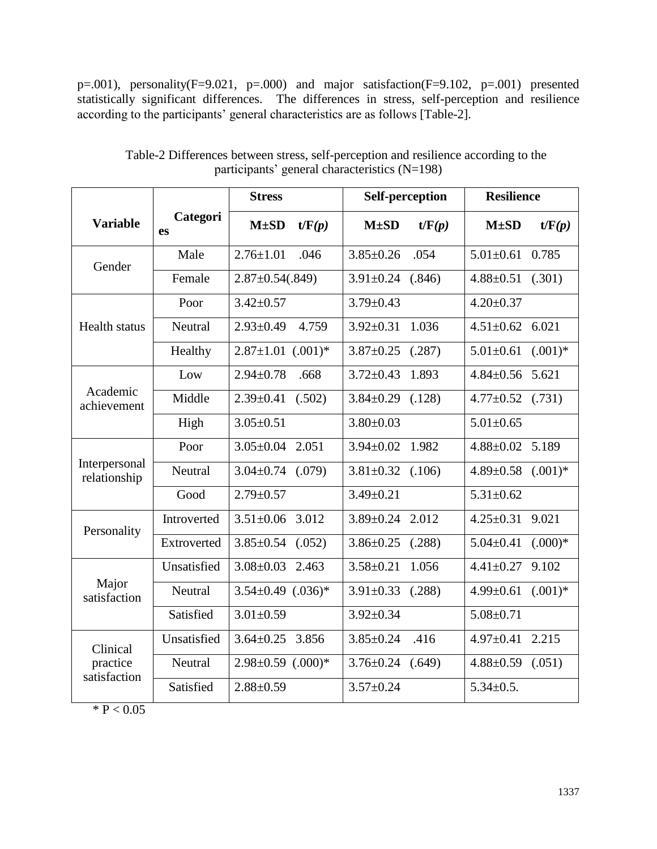p=.001), personality(F=9.021, p=.000) and major satisfaction(F=9.102, p=.001) presented statistically significant differences. The differences in stress, self-perception and resilience according to the participants' general characteristics are as follows [Table-2].

|                                      | Categori<br>es | <b>Stress</b>              | <b>Self-perception</b>    | <b>Resilience</b>             |
|--------------------------------------|----------------|----------------------------|---------------------------|-------------------------------|
| <b>Variable</b>                      |                | $M\pm SD$<br>t/F(p)        | $M\pm SD$<br>t/F(p)       | $M\pm SD$<br>t/F(p)           |
| Gender                               | Male           | $2.76 \pm 1.01$<br>.046    | .054<br>$3.85 \pm 0.26$   | $5.01 \pm 0.61$<br>0.785      |
|                                      | Female         | $2.87 \pm 0.54(.849)$      | $3.91 \pm 0.24$ (.846)    | $4.88 \pm 0.51$ (.301)        |
| <b>Health status</b>                 | Poor           | $3.42 \pm 0.57$            | $3.79 \pm 0.43$           | $4.20 \pm 0.37$               |
|                                      | Neutral        | $2.93 \pm 0.49$<br>4.759   | $3.92 \pm 0.31$<br>1.036  | $4.51 \pm 0.62$ 6.021         |
|                                      | Healthy        | $2.87 \pm 1.01$ $(.001)^*$ | $3.87 \pm 0.25$<br>(.287) | $5.01 \pm 0.61$<br>$(.001)$ * |
| Academic<br>achievement              | Low            | $2.94 \pm 0.78$<br>.668    | $3.72 \pm 0.43$<br>1.893  | $4.84 \pm 0.56$ 5.621         |
|                                      | Middle         | $2.39 \pm 0.41$<br>(.502)  | $3.84 \pm 0.29$<br>(.128) | $4.77 \pm 0.52$ (.731)        |
|                                      | High           | $3.05 \pm 0.51$            | $3.80 \pm 0.03$           | $5.01 \pm 0.65$               |
| Interpersonal<br>relationship        | Poor           | $3.05 \pm 0.04$<br>2.051   | $3.94 \pm 0.02$ 1.982     | $4.88 \pm 0.02$ 5.189         |
|                                      | Neutral        | $3.04 \pm 0.74$ (.079)     | $3.81 \pm 0.32$<br>(.106) | $4.89 \pm 0.58$<br>$(.001)*$  |
|                                      | Good           | $2.79 \pm 0.57$            | $3.49 \pm 0.21$           | $5.31 \pm 0.62$               |
| Personality                          | Introverted    | $3.51 \pm 0.06$ 3.012      | $3.89 \pm 0.24$ 2.012     | $4.25 \pm 0.31$ 9.021         |
|                                      | Extroverted    | $3.85 \pm 0.54$ (.052)     | $3.86 \pm 0.25$ (.288)    | $5.04 \pm 0.41$<br>$(.000)*$  |
| Major<br>satisfaction                | Unsatisfied    | $3.08 \pm 0.03$<br>2.463   | $3.58 \pm 0.21$<br>1.056  | $4.41 \pm 0.27$<br>9.102      |
|                                      | Neutral        | $3.54 \pm 0.49$ $(.036)^*$ | $3.91 \pm 0.33$<br>(.288) | $4.99 \pm 0.61$<br>$(.001)*$  |
|                                      | Satisfied      | $3.01 \pm 0.59$            | $3.92 \pm 0.34$           | $5.08 \pm 0.71$               |
| Clinical<br>practice<br>satisfaction | Unsatisfied    | $3.64 \pm 0.25$<br>3.856   | $3.85 \pm 0.24$<br>.416   | 2.215<br>$4.97 \pm 0.41$      |
|                                      | Neutral        | $2.98 \pm 0.59$ $(.000)*$  | $3.76 \pm 0.24$ (.649)    | $4.88 \pm 0.59$<br>(.051)     |
|                                      | Satisfied      | $2.88 \pm 0.59$            | $3.57 \pm 0.24$           | $5.34 \pm 0.5$ .              |

Table-2 Differences between stress, self-perception and resilience according to the participants' general characteristics (N=198)

 $* P < 0.05$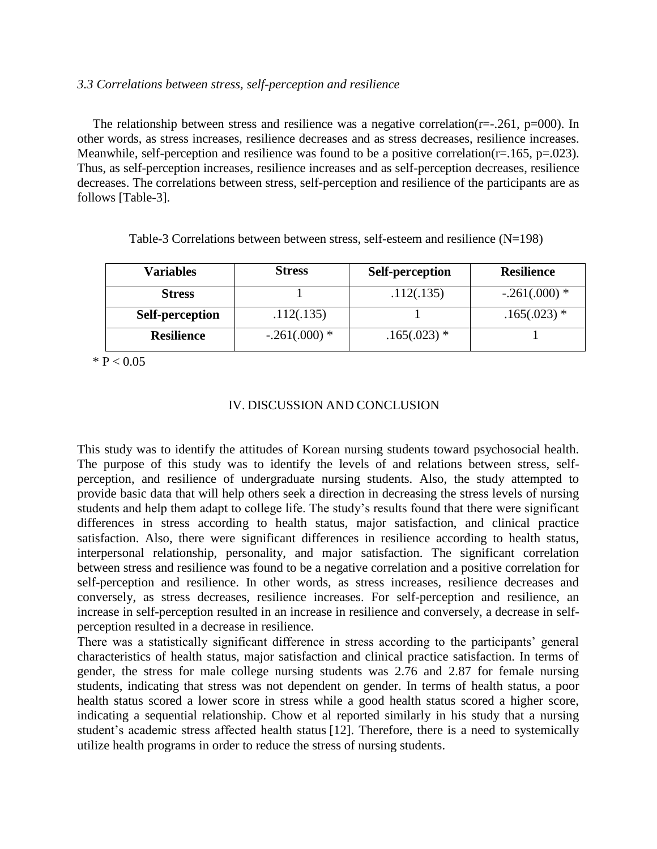# *3.3 Correlations between stress, self-perception and resilience*

The relationship between stress and resilience was a negative correlation( $r=-.261$ ,  $p=000$ ). In other words, as stress increases, resilience decreases and as stress decreases, resilience increases. Meanwhile, self-perception and resilience was found to be a positive correlation( $r=165$ ,  $p=.023$ ). Thus, as self-perception increases, resilience increases and as self-perception decreases, resilience decreases. The correlations between stress, self-perception and resilience of the participants are as follows [Table-3].

| <b>Variables</b>       | <b>Stress</b>  | <b>Self-perception</b> | <b>Resilience</b> |
|------------------------|----------------|------------------------|-------------------|
| <b>Stress</b>          |                | .112(.135)             | $-.261(.000)*$    |
| <b>Self-perception</b> | .112(.135)     |                        | $.165(.023)$ *    |
| <b>Resilience</b>      | $-.261(.000)*$ | $.165(.023)$ *         |                   |

Table-3 Correlations between between stress, self-esteem and resilience (N=198)

 $* P < 0.05$ 

# IV. DISCUSSION AND CONCLUSION

This study was to identify the attitudes of Korean nursing students toward psychosocial health. The purpose of this study was to identify the levels of and relations between stress, selfperception, and resilience of undergraduate nursing students. Also, the study attempted to provide basic data that will help others seek a direction in decreasing the stress levels of nursing students and help them adapt to college life. The study's results found that there were significant differences in stress according to health status, major satisfaction, and clinical practice satisfaction. Also, there were significant differences in resilience according to health status, interpersonal relationship, personality, and major satisfaction. The significant correlation between stress and resilience was found to be a negative correlation and a positive correlation for self-perception and resilience. In other words, as stress increases, resilience decreases and conversely, as stress decreases, resilience increases. For self-perception and resilience, an increase in self-perception resulted in an increase in resilience and conversely, a decrease in selfperception resulted in a decrease in resilience.

There was a statistically significant difference in stress according to the participants' general characteristics of health status, major satisfaction and clinical practice satisfaction. In terms of gender, the stress for male college nursing students was 2.76 and 2.87 for female nursing students, indicating that stress was not dependent on gender. In terms of health status, a poor health status scored a lower score in stress while a good health status scored a higher score, indicating a sequential relationship. Chow et al reported similarly in his study that a nursing student's academic stress affected health status [12]. Therefore, there is a need to systemically utilize health programs in order to reduce the stress of nursing students.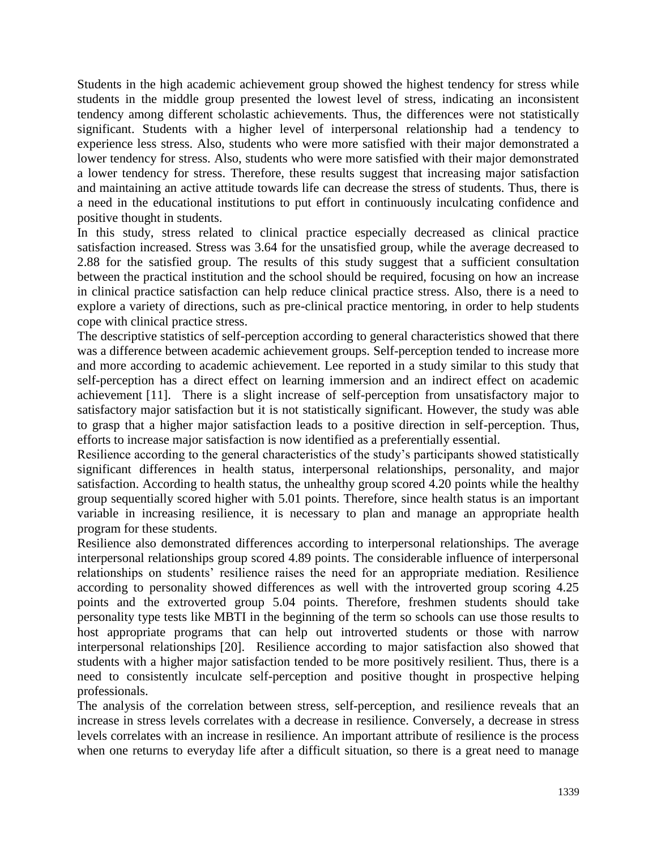Students in the high academic achievement group showed the highest tendency for stress while students in the middle group presented the lowest level of stress, indicating an inconsistent tendency among different scholastic achievements. Thus, the differences were not statistically significant. Students with a higher level of interpersonal relationship had a tendency to experience less stress. Also, students who were more satisfied with their major demonstrated a lower tendency for stress. Also, students who were more satisfied with their major demonstrated a lower tendency for stress. Therefore, these results suggest that increasing major satisfaction and maintaining an active attitude towards life can decrease the stress of students. Thus, there is a need in the educational institutions to put effort in continuously inculcating confidence and positive thought in students.

In this study, stress related to clinical practice especially decreased as clinical practice satisfaction increased. Stress was 3.64 for the unsatisfied group, while the average decreased to 2.88 for the satisfied group. The results of this study suggest that a sufficient consultation between the practical institution and the school should be required, focusing on how an increase in clinical practice satisfaction can help reduce clinical practice stress. Also, there is a need to explore a variety of directions, such as pre-clinical practice mentoring, in order to help students cope with clinical practice stress.

The descriptive statistics of self-perception according to general characteristics showed that there was a difference between academic achievement groups. Self-perception tended to increase more and more according to academic achievement. Lee reported in a study similar to this study that self-perception has a direct effect on learning immersion and an indirect effect on academic achievement [11]. There is a slight increase of self-perception from unsatisfactory major to satisfactory major satisfaction but it is not statistically significant. However, the study was able to grasp that a higher major satisfaction leads to a positive direction in self-perception. Thus, efforts to increase major satisfaction is now identified as a preferentially essential.

Resilience according to the general characteristics of the study's participants showed statistically significant differences in health status, interpersonal relationships, personality, and major satisfaction. According to health status, the unhealthy group scored 4.20 points while the healthy group sequentially scored higher with 5.01 points. Therefore, since health status is an important variable in increasing resilience, it is necessary to plan and manage an appropriate health program for these students.

Resilience also demonstrated differences according to interpersonal relationships. The average interpersonal relationships group scored 4.89 points. The considerable influence of interpersonal relationships on students' resilience raises the need for an appropriate mediation. Resilience according to personality showed differences as well with the introverted group scoring 4.25 points and the extroverted group 5.04 points. Therefore, freshmen students should take personality type tests like MBTI in the beginning of the term so schools can use those results to host appropriate programs that can help out introverted students or those with narrow interpersonal relationships [20]. Resilience according to major satisfaction also showed that students with a higher major satisfaction tended to be more positively resilient. Thus, there is a need to consistently inculcate self-perception and positive thought in prospective helping professionals.

The analysis of the correlation between stress, self-perception, and resilience reveals that an increase in stress levels correlates with a decrease in resilience. Conversely, a decrease in stress levels correlates with an increase in resilience. An important attribute of resilience is the process when one returns to everyday life after a difficult situation, so there is a great need to manage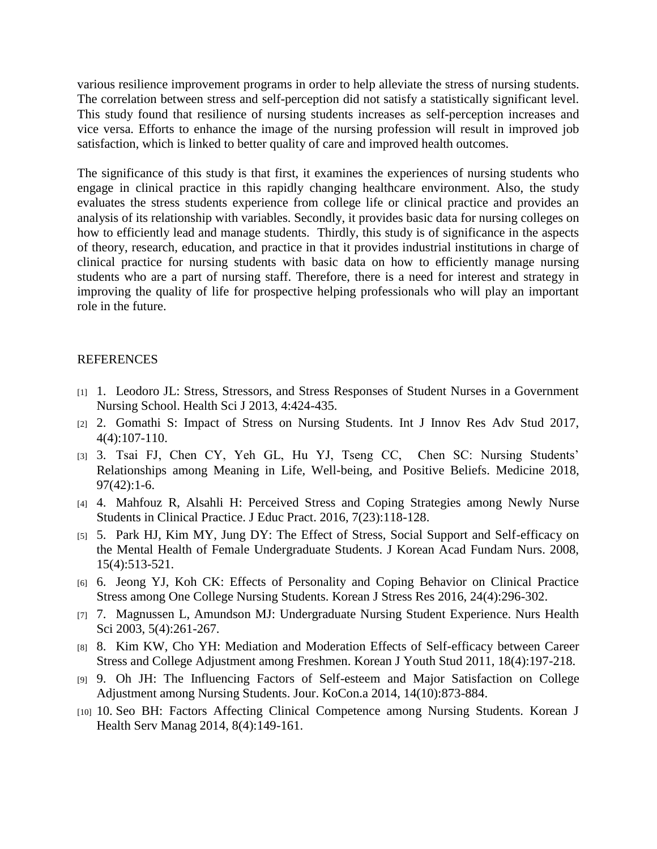various resilience improvement programs in order to help alleviate the stress of nursing students. The correlation between stress and self-perception did not satisfy a statistically significant level. This study found that resilience of nursing students increases as self-perception increases and vice versa. Efforts to enhance the image of the nursing profession will result in improved job satisfaction, which is linked to better quality of care and improved health outcomes.

The significance of this study is that first, it examines the experiences of nursing students who engage in clinical practice in this rapidly changing healthcare environment. Also, the study evaluates the stress students experience from college life or clinical practice and provides an analysis of its relationship with variables. Secondly, it provides basic data for nursing colleges on how to efficiently lead and manage students. Thirdly, this study is of significance in the aspects of theory, research, education, and practice in that it provides industrial institutions in charge of clinical practice for nursing students with basic data on how to efficiently manage nursing students who are a part of nursing staff. Therefore, there is a need for interest and strategy in improving the quality of life for prospective helping professionals who will play an important role in the future.

## **REFERENCES**

- [1] 1. Leodoro JL: Stress, Stressors, and Stress Responses of Student Nurses in a Government Nursing School. Health Sci J 2013, 4:424-435.
- [2] 2. Gomathi S: Impact of Stress on Nursing Students. Int J Innov Res Adv Stud 2017, 4(4):107-110.
- [3] 3. Tsai FJ, Chen CY, Yeh GL, Hu YJ, Tseng CC, Chen SC: Nursing Students' Relationships among Meaning in Life, Well-being, and Positive Beliefs. Medicine 2018, 97(42):1-6.
- [4] 4. Mahfouz R, Alsahli H: Perceived Stress and Coping Strategies among Newly Nurse Students in Clinical Practice. J Educ Pract. 2016, 7(23):118-128.
- [5] 5. Park HJ, Kim MY, Jung DY: The Effect of Stress, Social Support and Self-efficacy on the Mental Health of Female Undergraduate Students. J Korean Acad Fundam Nurs. 2008, 15(4):513-521.
- [6] 6. Jeong YJ, Koh CK: Effects of Personality and Coping Behavior on Clinical Practice Stress among One College Nursing Students. Korean J Stress Res 2016, 24(4):296-302.
- [7] 7. Magnussen L, Amundson MJ: Undergraduate Nursing Student Experience. Nurs Health Sci 2003, 5(4):261-267.
- [8] 8. Kim KW, Cho YH: Mediation and Moderation Effects of Self-efficacy between Career Stress and College Adjustment among Freshmen. Korean J Youth Stud 2011, 18(4):197-218.
- [9] 9. Oh JH: The Influencing Factors of Self-esteem and Major Satisfaction on College Adjustment among Nursing Students. Jour. KoCon.a 2014, 14(10):873-884.
- [10] 10. Seo BH: Factors Affecting Clinical Competence among Nursing Students. Korean J Health Serv Manag 2014, 8(4):149-161.